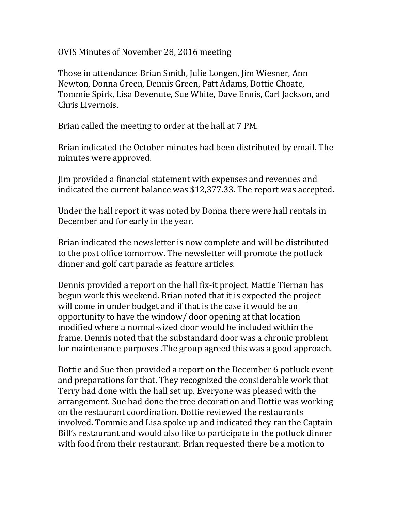OVIS Minutes of November 28, 2016 meeting

Those in attendance: Brian Smith, Julie Longen, Jim Wiesner, Ann Newton, Donna Green, Dennis Green, Patt Adams, Dottie Choate, Tommie Spirk, Lisa Devenute, Sue White, Dave Ennis, Carl Jackson, and Chris Livernois.

Brian called the meeting to order at the hall at 7 PM.

Brian indicated the October minutes had been distributed by email. The minutes were approved.

Jim provided a financial statement with expenses and revenues and indicated the current balance was \$12,377.33. The report was accepted.

Under the hall report it was noted by Donna there were hall rentals in December and for early in the year.

Brian indicated the newsletter is now complete and will be distributed to the post office tomorrow. The newsletter will promote the potluck dinner and golf cart parade as feature articles.

Dennis provided a report on the hall fix-it project. Mattie Tiernan has begun work this weekend. Brian noted that it is expected the project will come in under budget and if that is the case it would be an opportunity to have the window/ door opening at that location modified where a normal-sized door would be included within the frame. Dennis noted that the substandard door was a chronic problem for maintenance purposes .The group agreed this was a good approach.

Dottie and Sue then provided a report on the December 6 potluck event and preparations for that. They recognized the considerable work that Terry had done with the hall set up. Everyone was pleased with the arrangement. Sue had done the tree decoration and Dottie was working on the restaurant coordination. Dottie reviewed the restaurants involved. Tommie and Lisa spoke up and indicated they ran the Captain Bill's restaurant and would also like to participate in the potluck dinner with food from their restaurant. Brian requested there be a motion to